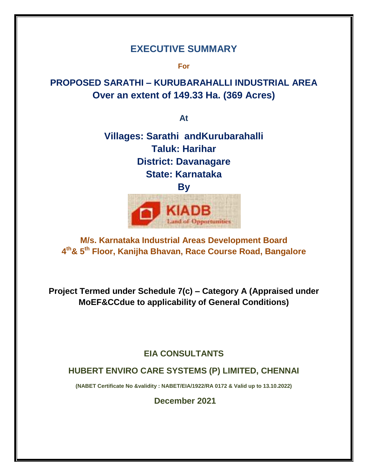# **EXECUTIVE SUMMARY**

**For**

# **PROPOSED SARATHI – KURUBARAHALLI INDUSTRIAL AREA Over an extent of 149.33 Ha. (369 Acres)**

**At**

# **Villages: Sarathi andKurubarahalli Taluk: Harihar District: Davanagare State: Karnataka**



# **M/s. Karnataka Industrial Areas Development Board 4 th& 5th Floor, Kanijha Bhavan, Race Course Road, Bangalore**

**Project Termed under Schedule 7(c) – Category A (Appraised under MoEF&CCdue to applicability of General Conditions)**

# **EIA CONSULTANTS**

# **HUBERT ENVIRO CARE SYSTEMS (P) LIMITED, CHENNAI**

**(NABET Certificate No &validity : NABET/EIA/1922/RA 0172 & Valid up to 13.10.2022)**

**December 2021**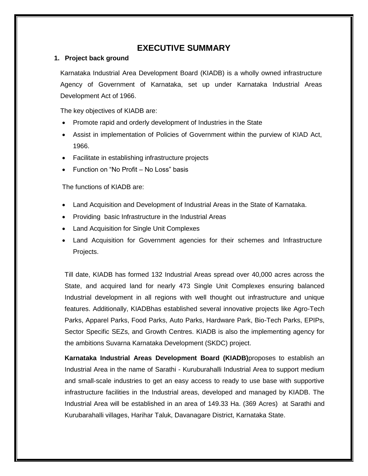# **EXECUTIVE SUMMARY**

#### **1. Project back ground**

Karnataka Industrial Area Development Board (KIADB) is a wholly owned infrastructure Agency of Government of Karnataka, set up under Karnataka Industrial Areas Development Act of 1966.

The key objectives of KIADB are:

- Promote rapid and orderly development of Industries in the State
- Assist in implementation of Policies of Government within the purview of KIAD Act, 1966.
- Facilitate in establishing infrastructure projects
- Function on "No Profit No Loss" basis

The functions of KIADB are:

- Land Acquisition and Development of Industrial Areas in the State of Karnataka.
- Providing basic Infrastructure in the Industrial Areas
- Land Acquisition for Single Unit Complexes
- Land Acquisition for Government agencies for their schemes and Infrastructure Projects.

Till date, KIADB has formed 132 Industrial Areas spread over 40,000 acres across the State, and acquired land for nearly 473 Single Unit Complexes ensuring balanced Industrial development in all regions with well thought out infrastructure and unique features. Additionally, KIADBhas established several innovative projects like Agro-Tech Parks, Apparel Parks, Food Parks, Auto Parks, Hardware Park, Bio-Tech Parks, EPIPs, Sector Specific SEZs, and Growth Centres. KIADB is also the implementing agency for the ambitions Suvarna Karnataka Development (SKDC) project.

**Karnataka Industrial Areas Development Board (KIADB)**proposes to establish an Industrial Area in the name of Sarathi - Kuruburahalli Industrial Area to support medium and small-scale industries to get an easy access to ready to use base with supportive infrastructure facilities in the Industrial areas, developed and managed by KIADB. The Industrial Area will be established in an area of 149.33 Ha. (369 Acres) at Sarathi and Kurubarahalli villages, Harihar Taluk, Davanagare District, Karnataka State.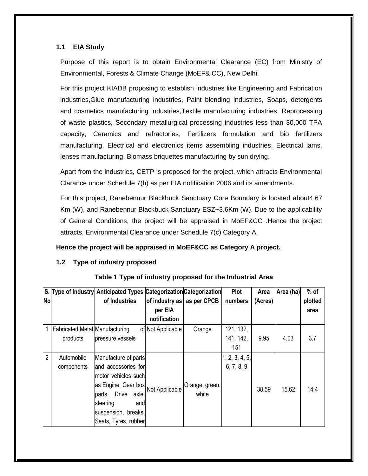### **1.1 EIA Study**

Purpose of this report is to obtain Environmental Clearance (EC) from Ministry of Environmental, Forests & Climate Change (MoEF& CC), New Delhi.

For this project KIADB proposing to establish industries like Engineering and Fabrication industries,Glue manufacturing industries, Paint blending industries, Soaps, detergents and cosmetics manufacturing industries,Textile manufacturing industries, Reprocessing of waste plastics, Secondary metallurgical processing industries less than 30,000 TPA capacity, Ceramics and refractories, Fertilizers formulation and bio fertilizers manufacturing, Electrical and electronics items assembling industries, Electrical lams, lenses manufacturing, Biomass briquettes manufacturing by sun drying.

Apart from the industries, CETP is proposed for the project, which attracts Environmental Clarance under Schedule 7(h) as per EIA notification 2006 and its amendments.

For this project, Ranebennur Blackbuck Sanctuary Core Boundary is located about4.67 Km (W), and Ranebennur Blackbuck Sanctuary ESZ~3.6Km (W). Due to the applicability of General Conditions, the project will be appraised in MoEF&CC .Hence the project attracts, Environmental Clearance under Schedule 7(c) Category A.

#### **Hence the project will be appraised in MoEF&CC as Category A project.**

# **1.2 Type of industry proposed**

|                |                                       | S. Type of industry Anticipated Types Categorization Categorization |                            |                | <b>Plot</b>    | Area    | Area (ha) | $%$ of  |
|----------------|---------------------------------------|---------------------------------------------------------------------|----------------------------|----------------|----------------|---------|-----------|---------|
| <b>No</b>      |                                       | of Industries                                                       | of industry as as per CPCB |                | numbers        | (Acres) |           | plotted |
|                |                                       |                                                                     | per EIA                    |                |                |         |           | area    |
|                |                                       |                                                                     | notification               |                |                |         |           |         |
|                | <b>Fabricated Metal Manufacturing</b> |                                                                     | of Not Applicable          | Orange         | 121, 132,      |         |           |         |
|                | products                              | pressure vessels                                                    |                            |                | 141, 142,      | 9.95    | 4.03      | 3.7     |
|                |                                       |                                                                     |                            |                | 151            |         |           |         |
| $\overline{2}$ | Automobile                            | Manufacture of parts                                                |                            |                | 1, 2, 3, 4, 5, |         |           |         |
|                | components                            | and accessories for                                                 |                            |                | 6, 7, 8, 9     |         |           |         |
|                |                                       | motor vehicles such                                                 |                            |                |                |         |           |         |
|                |                                       | as Engine, Gear box                                                 | Not Applicable             | Orange, green, |                | 38.59   | 15.62     | 14.4    |
|                |                                       | Drive axle,<br>parts,                                               |                            | white          |                |         |           |         |
|                |                                       | steering<br>and                                                     |                            |                |                |         |           |         |
|                |                                       | suspension, breaks,                                                 |                            |                |                |         |           |         |
|                |                                       | Seats, Tyres, rubber                                                |                            |                |                |         |           |         |

# **Table 1 Type of industry proposed for the Industrial Area**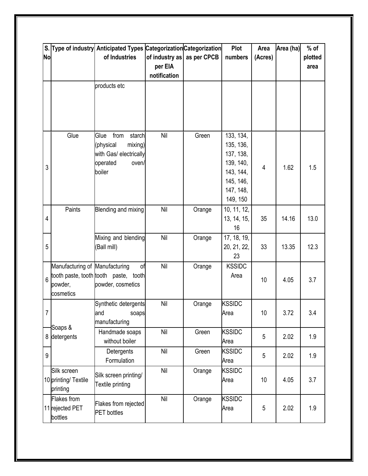|                |                                | S. Type of industry Anticipated Types Categorization Categorization |                            | Plot   |                        | Area           | Area (ha) | $%$ of  |
|----------------|--------------------------------|---------------------------------------------------------------------|----------------------------|--------|------------------------|----------------|-----------|---------|
| <b>No</b>      |                                | of Industries                                                       | of industry as as per CPCB |        | numbers                | (Acres)        |           | plotted |
|                |                                |                                                                     | per EIA                    |        |                        |                |           | area    |
|                |                                |                                                                     | notification               |        |                        |                |           |         |
|                |                                | products etc                                                        |                            |        |                        |                |           |         |
|                |                                |                                                                     |                            |        |                        |                |           |         |
|                |                                |                                                                     |                            |        |                        |                |           |         |
|                |                                |                                                                     |                            |        |                        |                |           |         |
|                |                                |                                                                     |                            |        |                        |                |           |         |
|                | Glue                           | from<br>Glue<br>starch                                              | Nil                        | Green  | 133, 134,              |                |           |         |
|                |                                | (physical<br>mixing)                                                |                            |        | 135, 136,              |                |           |         |
|                |                                | with Gas/ electrically                                              |                            |        | 137, 138,              |                |           |         |
| 3              |                                | operated<br>oven/<br>boiler                                         |                            |        | 139, 140,<br>143, 144, | $\overline{4}$ | 1.62      | 1.5     |
|                |                                |                                                                     |                            |        | 145, 146,              |                |           |         |
|                |                                |                                                                     |                            |        | 147, 148,              |                |           |         |
|                |                                |                                                                     |                            |        | 149, 150               |                |           |         |
|                | Paints                         | Blending and mixing                                                 | Nil                        | Orange | 10, 11, 12,            |                |           |         |
| $\overline{4}$ |                                |                                                                     |                            |        | 13, 14, 15,            | 35             | 14.16     | 13.0    |
|                |                                |                                                                     |                            |        | 16                     |                |           |         |
|                |                                | Mixing and blending                                                 | Nil                        | Orange | 17, 18, 19,            |                |           |         |
| 5              |                                | (Ball mill)                                                         |                            |        | 20, 21, 22,            | 33             | 13.35     | 12.3    |
|                |                                |                                                                     |                            |        | 23                     |                |           |         |
|                | Manufacturing of Manufacturing | of                                                                  | Nil                        | Orange | <b>KSSIDC</b>          |                |           |         |
| 6              |                                | tooth paste, tooth tooth paste, tooth                               |                            |        | Area                   | 10             | 4.05      | 3.7     |
|                | powder,                        | powder, cosmetics                                                   |                            |        |                        |                |           |         |
|                | cosmetics                      |                                                                     |                            |        |                        |                |           |         |
|                |                                | Synthetic detergents                                                | Nil                        | Orange | <b>KSSIDC</b>          |                |           |         |
| 7              |                                | and<br>soaps                                                        |                            |        | Area                   | 10             | 3.72      | 3.4     |
|                | Soaps &                        | manufacturing                                                       | Nil                        |        |                        |                |           |         |
| 8              | detergents                     | Handmade soaps<br>without boiler                                    |                            | Green  | <b>KSSIDC</b><br>Area  | 5              | 2.02      | 1.9     |
|                |                                | Detergents                                                          | Nil                        | Green  | <b>KSSIDC</b>          |                |           |         |
| 9              |                                | Formulation                                                         |                            |        | Area                   | 5              | 2.02      | 1.9     |
|                | Silk screen                    |                                                                     | Nil                        | Orange | <b>KSSIDC</b>          |                |           |         |
|                | 10 printing/ Textile           | Silk screen printing/                                               |                            |        | Area                   | 10             | 4.05      | 3.7     |
|                | printing                       | Textile printing                                                    |                            |        |                        |                |           |         |
|                | Flakes from                    |                                                                     | Nil                        | Orange | <b>KSSIDC</b>          |                |           |         |
|                | 11 rejected PET                | Flakes from rejected                                                |                            |        | Area                   | 5              | 2.02      | 1.9     |
|                | bottles                        | <b>PET</b> bottles                                                  |                            |        |                        |                |           |         |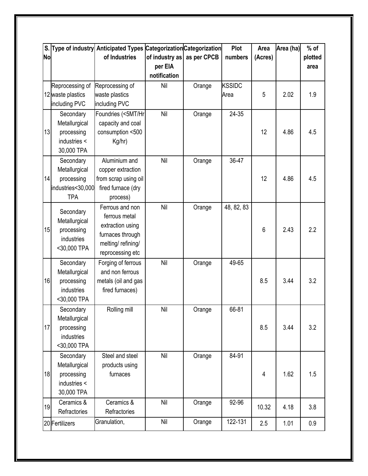| S.        |                             | Type of industry Anticipated Types Categorization Categorization |                |             | Plot          | Area    | Area (ha) | $%$ of  |
|-----------|-----------------------------|------------------------------------------------------------------|----------------|-------------|---------------|---------|-----------|---------|
| <b>No</b> |                             | of Industries                                                    | of industry as | as per CPCB | numbers       | (Acres) |           | plotted |
|           |                             |                                                                  | per EIA        |             |               |         |           | area    |
|           |                             |                                                                  | notification   |             |               |         |           |         |
|           | Reprocessing of             | Reprocessing of                                                  | Nil            | Orange      | <b>KSSIDC</b> |         |           |         |
|           | 12 waste plastics           | waste plastics                                                   |                |             | Area          | 5       | 2.02      | 1.9     |
|           | including PVC               | including PVC                                                    |                |             |               |         |           |         |
|           | Secondary                   | Foundries (<5MT/Hr                                               | Nil            | Orange      | 24-35         |         |           |         |
|           | Metallurgical               | capacity and coal                                                |                |             |               |         |           |         |
| 13        | processing                  | consumption <500                                                 |                |             |               | 12      | 4.86      | 4.5     |
|           | industries <                | Kg/hr)                                                           |                |             |               |         |           |         |
|           | 30,000 TPA                  |                                                                  |                |             |               |         |           |         |
|           | Secondary                   | Aluminium and                                                    | Nil            | Orange      | 36-47         |         |           |         |
|           | Metallurgical               | copper extraction                                                |                |             |               |         |           |         |
| 14        | processing                  | from scrap using oil                                             |                |             |               | 12      | 4.86      | 4.5     |
|           | industries<30,000           | fired furnace (dry                                               |                |             |               |         |           |         |
|           | <b>TPA</b>                  | process)                                                         |                |             |               |         |           |         |
|           | Secondary                   | Ferrous and non                                                  | Nil            | Orange      | 48, 82, 83    |         |           |         |
|           | Metallurgical               | ferrous metal                                                    |                |             |               |         |           |         |
| 15        | processing                  | extraction using                                                 |                |             |               | 6       | 2.43      | 2.2     |
|           | industries                  | furnaces through                                                 |                |             |               |         |           |         |
|           | <30,000 TPA                 | melting/refining/                                                |                |             |               |         |           |         |
|           |                             | reprocessing etc                                                 |                |             |               |         |           |         |
|           | Secondary                   | Forging of ferrous                                               | Nil            | Orange      | 49-65         |         |           |         |
|           | Metallurgical               | and non ferrous                                                  |                |             |               |         |           |         |
| 16        | processing                  | metals (oil and gas                                              |                |             |               | 8.5     | 3.44      | 3.2     |
|           | industries                  | fired furnaces)                                                  |                |             |               |         |           |         |
|           | <30,000 TPA                 |                                                                  |                |             |               |         |           |         |
|           | Secondary                   | Rolling mill                                                     | Nil            | Orange      | 66-81         |         |           |         |
| 17        | Metallurgical<br>processing |                                                                  |                |             |               | 8.5     | 3.44      | 3.2     |
|           | industries                  |                                                                  |                |             |               |         |           |         |
|           | <30,000 TPA                 |                                                                  |                |             |               |         |           |         |
|           | Secondary                   | Steel and steel                                                  | Nil            | Orange      | 84-91         |         |           |         |
|           | Metallurgical               | products using                                                   |                |             |               |         |           |         |
| 18        | processing                  | furnaces                                                         |                |             |               | 4       | 1.62      | 1.5     |
|           | industries <                |                                                                  |                |             |               |         |           |         |
|           | 30,000 TPA                  |                                                                  |                |             |               |         |           |         |
|           | Ceramics &                  | Ceramics &                                                       | Nil            | Orange      | 92-96         |         |           |         |
| 19        | Refractories                | Refractories                                                     |                |             |               | 10.32   | 4.18      | 3.8     |
|           | 20 Fertilizers              | Granulation,                                                     | Nil            | Orange      | 122-131       | 2.5     | 1.01      | 0.9     |
|           |                             |                                                                  |                |             |               |         |           |         |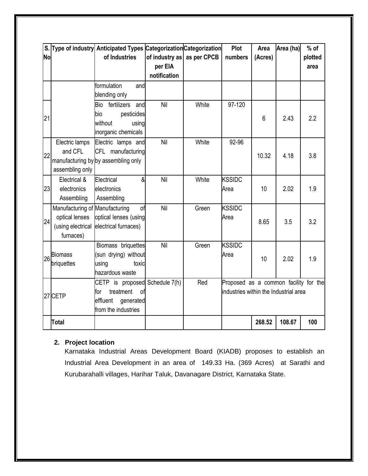|           |                                | S. Type of industry Anticipated Types Categorization Categorization |              |                            | Plot                                  | Area    | Area (ha) | $%$ of  |
|-----------|--------------------------------|---------------------------------------------------------------------|--------------|----------------------------|---------------------------------------|---------|-----------|---------|
| <b>No</b> |                                | of Industries                                                       |              | of industry as as per CPCB | numbers                               | (Acres) |           | plotted |
|           |                                |                                                                     | per EIA      |                            |                                       |         |           | area    |
|           |                                |                                                                     | notification |                            |                                       |         |           |         |
|           |                                | formulation<br>and                                                  |              |                            |                                       |         |           |         |
|           |                                | blending only                                                       |              |                            |                                       |         |           |         |
|           |                                | fertilizers<br>Bio<br>and                                           | Nil          | White                      | 97-120                                |         |           |         |
| 21        |                                | bio<br>pesticides                                                   |              |                            |                                       | 6       | 2.43      | 2.2     |
|           |                                | without<br>using                                                    |              |                            |                                       |         |           |         |
|           |                                | inorganic chemicals                                                 |              |                            |                                       |         |           |         |
|           | Electric lamps                 | Electric lamps and                                                  | Nil          | White                      | 92-96                                 |         |           |         |
| 22        | and CFL                        | CFL manufacturing                                                   |              |                            |                                       | 10.32   | 4.18      | 3.8     |
|           |                                | manufacturing by by assembling only                                 |              |                            |                                       |         |           |         |
|           | assembling only                |                                                                     |              |                            |                                       |         |           |         |
|           | Electrical &                   | $\alpha$<br>Electrical                                              | Nil          | White                      | <b>KSSIDC</b>                         |         |           |         |
| 23        | electronics                    | electronics                                                         |              |                            | Area                                  | 10      | 2.02      | 1.9     |
|           | Assembling                     | Assembling                                                          |              |                            |                                       |         |           |         |
|           | Manufacturing of Manufacturing | of                                                                  | Nil          | Green                      | <b>KSSIDC</b>                         |         |           |         |
| 24        | optical lenses                 | optical lenses (using                                               |              |                            | Area                                  | 8.65    | 3.5       | 3.2     |
|           | (using electrical              | electrical furnaces)                                                |              |                            |                                       |         |           |         |
|           | furnaces)                      |                                                                     |              |                            |                                       |         |           |         |
|           |                                | Biomass briquettes                                                  | Nil          | Green                      | <b>KSSIDC</b>                         |         |           |         |
| 26        | <b>Biomass</b>                 | (sun drying) without                                                |              |                            | Area                                  | 10      | 2.02      | 1.9     |
|           | briquettes                     | using<br>toxic                                                      |              |                            |                                       |         |           |         |
|           |                                | hazardous waste                                                     |              |                            |                                       |         |           |         |
|           |                                | CETP is proposed Schedule 7(h)                                      |              | Red                        | Proposed as a common facility for the |         |           |         |
|           | 27 CETP                        | treatment<br>of<br>for                                              |              |                            | industries within the Industrial area |         |           |         |
|           |                                | effluent<br>generated                                               |              |                            |                                       |         |           |         |
|           |                                | from the industries                                                 |              |                            |                                       |         |           |         |
|           | <b>Total</b>                   |                                                                     |              |                            |                                       | 268.52  | 108.67    | 100     |

# **2. Project location**

Karnataka Industrial Areas Development Board (KIADB) proposes to establish an Industrial Area Development in an area of 149.33 Ha. (369 Acres) at Sarathi and Kurubarahalli villages, Harihar Taluk, Davanagare District, Karnataka State.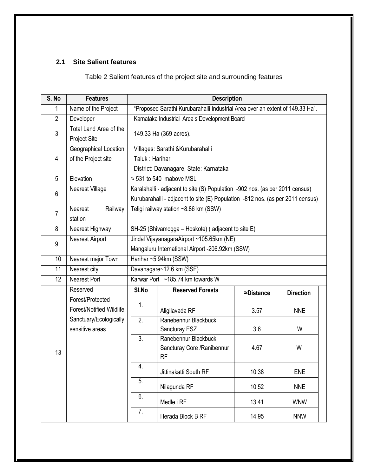# **2.1 Site Salient features**

Table 2 Salient features of the project site and surrounding features

| S. No          | <b>Features</b>                               | <b>Description</b>                                                            |                                                                                                                                                                |                    |                  |  |  |  |  |
|----------------|-----------------------------------------------|-------------------------------------------------------------------------------|----------------------------------------------------------------------------------------------------------------------------------------------------------------|--------------------|------------------|--|--|--|--|
| 1              | Name of the Project                           | "Proposed Sarathi Kurubarahalli Industrial Area over an extent of 149.33 Ha". |                                                                                                                                                                |                    |                  |  |  |  |  |
| $\overline{2}$ | Developer                                     |                                                                               | Karnataka Industrial Area s Development Board                                                                                                                  |                    |                  |  |  |  |  |
| 3              | Total Land Area of the<br><b>Project Site</b> |                                                                               | 149.33 Ha (369 acres).                                                                                                                                         |                    |                  |  |  |  |  |
| 4              | Geographical Location<br>of the Project site  |                                                                               | Villages: Sarathi & Kurubarahalli<br>Taluk: Harihar<br>District: Davanagare, State: Karnataka                                                                  |                    |                  |  |  |  |  |
| $\overline{5}$ | Elevation                                     |                                                                               | $\approx$ 531 to 540 mabove MSL                                                                                                                                |                    |                  |  |  |  |  |
| 6              | <b>Nearest Village</b>                        |                                                                               | Karalahalli - adjacent to site (S) Population -902 nos. (as per 2011 census)<br>Kurubarahalli - adjacent to site (E) Population -812 nos. (as per 2011 census) |                    |                  |  |  |  |  |
| $\overline{7}$ | Railway<br><b>Nearest</b><br>station          |                                                                               | Teligi railway station ~8.86 km (SSW)                                                                                                                          |                    |                  |  |  |  |  |
| 8              | Nearest Highway                               |                                                                               | SH-25 (Shivamogga - Hoskote) (adjacent to site E)                                                                                                              |                    |                  |  |  |  |  |
| 9              | Nearest Airport                               |                                                                               | Jindal VijayanagaraAirport ~105.65km (NE)<br>Mangaluru International Airport -206.92km (SSW)                                                                   |                    |                  |  |  |  |  |
| 10             | Nearest major Town                            |                                                                               | Harihar ~5.94km (SSW)                                                                                                                                          |                    |                  |  |  |  |  |
| 11             | Nearest city                                  |                                                                               | Davanagare~12.6 km (SSE)                                                                                                                                       |                    |                  |  |  |  |  |
| 12             | Nearest Port                                  |                                                                               | Karwar Port ~185.74 km towards W                                                                                                                               |                    |                  |  |  |  |  |
|                | Reserved<br>Forest/Protected                  | SI.No                                                                         | <b>Reserved Forests</b>                                                                                                                                        | $\approx$ Distance | <b>Direction</b> |  |  |  |  |
|                | <b>Forest/Notified Wildlife</b>               | 1.                                                                            | Aligilavada RF                                                                                                                                                 | 3.57               | <b>NNE</b>       |  |  |  |  |
|                | Sanctuary/Ecologically<br>sensitive areas     | 2.                                                                            | Ranebennur Blackbuck<br>Sancturay ESZ                                                                                                                          | 3.6                | W                |  |  |  |  |
| 13             |                                               | 3.                                                                            | Ranebennur Blackbuck<br>Sancturay Core / Ranibennur<br>RF                                                                                                      | 4.67               | W                |  |  |  |  |
|                |                                               | 4.                                                                            | Jittinakatti South RF                                                                                                                                          | 10.38              | <b>ENE</b>       |  |  |  |  |
|                |                                               | 5.                                                                            | Nilagunda RF                                                                                                                                                   | 10.52              | <b>NNE</b>       |  |  |  |  |
|                |                                               | 6.                                                                            | Medle i RF                                                                                                                                                     | 13.41              | <b>WNW</b>       |  |  |  |  |
|                |                                               | 7.                                                                            | Herada Block B RF                                                                                                                                              | 14.95              | <b>NNW</b>       |  |  |  |  |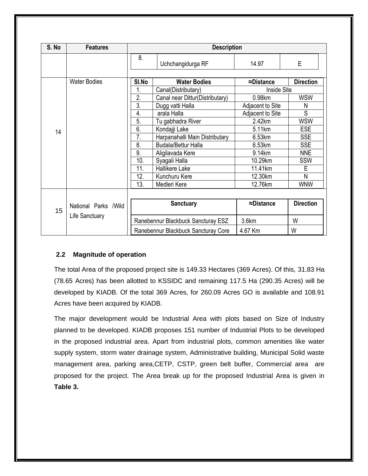| S. No | <b>Features</b>       |                                   | <b>Description</b>                        |                    |                  |  |  |
|-------|-----------------------|-----------------------------------|-------------------------------------------|--------------------|------------------|--|--|
|       |                       | 8.                                | Uchchangidurga RF                         | 14.97              | E                |  |  |
|       | <b>Water Bodies</b>   |                                   | <b>Water Bodies</b>                       | $\approx$ Distance | <b>Direction</b> |  |  |
|       |                       | 1.                                | Canal(Distributary)<br><b>Inside Site</b> |                    |                  |  |  |
|       |                       | 2.                                | Canal near Dittur(Distributary)           | 0.98km             | <b>WSW</b>       |  |  |
|       |                       | 3.                                | Dugg vatti Halla                          | Adjacent to Site   | N                |  |  |
|       |                       | 4.                                | arala Halla                               | Adjacent to Site   | S                |  |  |
|       |                       | 5.<br>2.42km<br>Tu gabhadra River |                                           | <b>WSW</b>         |                  |  |  |
| 14    |                       | 6.                                | Kondajji Lake                             | 5.11km             | <b>ESE</b>       |  |  |
|       |                       | 7.                                | Harpanahalli Main Distributary            | 6.53km             | <b>SSE</b>       |  |  |
|       |                       | 8.                                | <b>Budala/Bettur Halla</b>                | 6.53km             | <b>SSE</b>       |  |  |
|       |                       | 9.                                | Aligilavada Kere                          | 9.14km             | <b>NNE</b>       |  |  |
|       |                       | 10.                               | Syagali Halla                             | 10.29km            | SSW              |  |  |
|       |                       | 11.                               | Hallikere Lake                            | 11.41km            | E                |  |  |
|       |                       | 12.                               | Kunchuru Kere                             | 12.30km            | N                |  |  |
|       |                       | 13.                               | Medleri Kere                              | 12.76km            | <b>WNW</b>       |  |  |
|       |                       |                                   |                                           |                    |                  |  |  |
| 15    | National Parks / Wild |                                   | <b>Sanctuary</b>                          | $\approx$ Distance | <b>Direction</b> |  |  |
|       | Life Sanctuary        |                                   | Ranebennur Blackbuck Sancturay ESZ        | 3.6km              | W                |  |  |
|       |                       |                                   | Ranebennur Blackbuck Sancturay Core       | 4.67 Km            | W                |  |  |

# **2.2 Magnitude of operation**

The total Area of the proposed project site is 149.33 Hectares (369 Acres). Of this, 31.83 Ha (78.65 Acres) has been allotted to KSSIDC and remaining 117.5 Ha (290.35 Acres) will be developed by KIADB. Of the total 369 Acres, for 260.09 Acres GO is available and 108.91 Acres have been acquired by KIADB.

The major development would be Industrial Area with plots based on Size of Industry planned to be developed. KIADB proposes 151 number of Industrial Plots to be developed in the proposed industrial area. Apart from industrial plots, common amenities like water supply system, storm water drainage system, Administrative building, Municipal Solid waste management area, parking area,CETP, CSTP, green belt buffer, Commercial area are proposed for the project. The Area break up for the proposed Industrial Area is given in **Table 3.**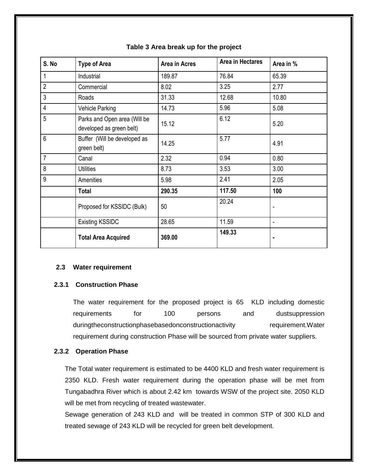| S. No          | <b>Type of Area</b>                                      | Area in Acres | Area in Hectares | Area in % |
|----------------|----------------------------------------------------------|---------------|------------------|-----------|
| 1              | Industrial                                               | 189.87        | 76.84            | 65.39     |
| $\overline{2}$ | Commercial                                               | 8.02          | 3.25             | 2.77      |
| 3              | Roads                                                    | 31.33         | 12.68            | 10.80     |
| $\overline{4}$ | Vehicle Parking                                          | 14.73         | 5.96             | 5.08      |
| 5              | Parks and Open area (Will be<br>developed as green belt) | 15.12         | 6.12             | 5.20      |
| 6              | Buffer (Will be developed as<br>green belt)              | 14.25         | 5.77             | 4.91      |
| $\overline{7}$ | Canal                                                    | 2.32          | 0.94             | 0.80      |
| 8              | <b>Utilities</b>                                         | 8.73          | 3.53             | 3.00      |
| 9              | Amenities                                                | 5.98          | 2.41             | 2.05      |
|                | <b>Total</b>                                             | 290.35        | 117.50           | 100       |
|                | Proposed for KSSIDC (Bulk)                               | 50            | 20.24            |           |
|                | <b>Existing KSSIDC</b>                                   | 28.65         | 11.59            | ۰         |
|                | <b>Total Area Acquired</b>                               | 369.00        | 149.33           |           |

#### **Table 3 Area break up for the project**

#### **2.3 Water requirement**

#### **2.3.1 Construction Phase**

The water requirement for the proposed project is 65 KLD including domestic requirements for 100 persons and dustsuppression duringtheconstructionphasebasedonconstructionactivity requirement. Water requirement during construction Phase will be sourced from private water suppliers.

#### **2.3.2 Operation Phase**

The Total water requirement is estimated to be 4400 KLD and fresh water requirement is 2350 KLD. Fresh water requirement during the operation phase will be met from Tungabadhra River which is about 2.42 km towards WSW of the project site. 2050 KLD will be met from recycling of treated wastewater.

Sewage generation of 243 KLD and will be treated in common STP of 300 KLD and treated sewage of 243 KLD will be recycled for green belt development.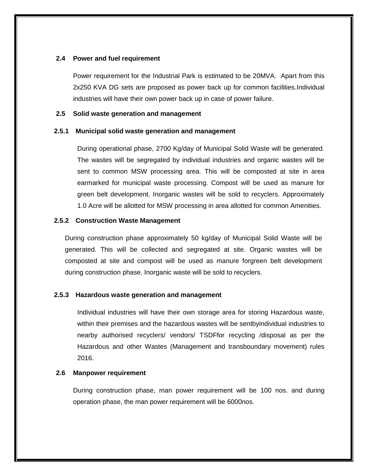#### **2.4 Power and fuel requirement**

Power requirement for the Industrial Park is estimated to be 20MVA. Apart from this 2x250 KVA DG sets are proposed as power back up for common facilities.Individual industries will have their own power back up in case of power failure.

#### **2.5 Solid waste generation and management**

#### **2.5.1 Municipal solid waste generation and management**

During operational phase, 2700 Kg/day of Municipal Solid Waste will be generated. The wastes will be segregated by individual industries and organic wastes will be sent to common MSW processing area. This will be composted at site in area earmarked for municipal waste processing. Compost will be used as manure for green belt development. Inorganic wastes will be sold to recyclers. Approximately 1.0 Acre will be allotted for MSW processing in area allotted for common Amenities.

#### **2.5.2 Construction Waste Management**

During construction phase approximately 50 kg/day of Municipal Solid Waste will be generated. This will be collected and segregated at site. Organic wastes will be composted at site and compost will be used as manure forgreen belt development during construction phase. Inorganic waste will be sold to recyclers.

#### **2.5.3 Hazardous waste generation and management**

Individual industries will have their own storage area for storing Hazardous waste, within their premises and the hazardous wastes will be sentbyindividual industries to nearby authorised recyclers/ vendors/ TSDFfor recycling /disposal as per the Hazardous and other Wastes (Management and transboundary movement) rules 2016.

#### **2.6 Manpower requirement**

During construction phase, man power requirement will be 100 nos. and during operation phase, the man power requirement will be 6000nos.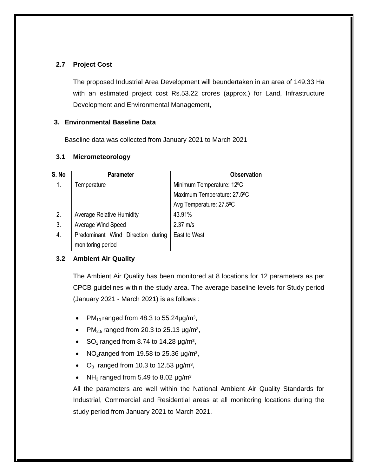### **2.7 Project Cost**

The proposed Industrial Area Development will beundertaken in an area of 149.33 Ha with an estimated project cost Rs.53.22 crores (approx.) for Land, Infrastructure Development and Environmental Management,

#### **3. Environmental Baseline Data**

Baseline data was collected from January 2021 to March 2021

#### **3.1 Micrometeorology**

| S. No | <b>Parameter</b>                  | <b>Observation</b>                     |
|-------|-----------------------------------|----------------------------------------|
| 1.    | Temperature                       | Minimum Temperature: 12 <sup>o</sup> C |
|       |                                   | Maximum Temperature: 27.5°C            |
|       |                                   | Avg Temperature: 27.5°C                |
| 2.    | <b>Average Relative Humidity</b>  | 43.91%                                 |
| 3.    | Average Wind Speed                | $2.37 \text{ m/s}$                     |
| 4.    | Predominant Wind Direction during | East to West                           |
|       | monitoring period                 |                                        |

#### **3.2 Ambient Air Quality**

The Ambient Air Quality has been monitored at 8 locations for 12 parameters as per CPCB guidelines within the study area. The average baseline levels for Study period (January 2021 - March 2021) is as follows :

- PM<sub>10</sub> ranged from 48.3 to 55.24 $\mu$ g/m<sup>3</sup>,
- PM<sub>2.5</sub> ranged from 20.3 to 25.13  $\mu$ g/m<sup>3</sup>,
- SO<sub>2</sub> ranged from 8.74 to 14.28  $\mu$ g/m<sup>3</sup>,
- NO<sub>2</sub>ranged from 19.58 to 25.36  $\mu$ g/m<sup>3</sup>,
- $O_3$  ranged from 10.3 to 12.53  $\mu$ g/m<sup>3</sup>,
- NH<sub>3</sub> ranged from 5.49 to 8.02  $\mu$ g/m<sup>3</sup>

All the parameters are well within the National Ambient Air Quality Standards for Industrial, Commercial and Residential areas at all monitoring locations during the study period from January 2021 to March 2021.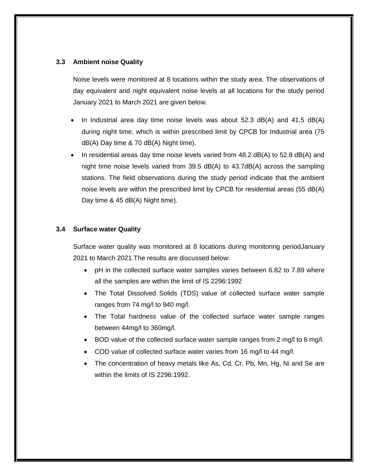#### **3.3 Ambient noise Quality**

Noise levels were monitored at 8 locations within the study area. The observations of day equivalent and night equivalent noise levels at all locations for the study period January 2021 to March 2021 are given below.

- In Industrial area day time noise levels was about 52.3 dB(A) and 41.5 dB(A) during night time, which is within prescribed limit by CPCB for Industrial area (75 dB(A) Day time & 70 dB(A) Night time).
- In residential areas day time noise levels varied from 48.2 dB(A) to 52.8 dB(A) and night time noise levels varied from 39.5 dB(A) to 43.7dB(A) across the sampling stations. The field observations during the study period indicate that the ambient noise levels are within the prescribed limit by CPCB for residential areas (55 dB(A) Day time & 45 dB(A) Night time).

#### **3.4 Surface water Quality**

Surface water quality was monitored at 8 locations during monitoring periodJanuary 2021 to March 2021.The results are discussed below:

- pH in the collected surface water samples varies between 6.82 to 7.89 where all the samples are within the limit of IS 2296:1992
- The Total Dissolved Solids (TDS) value of collected surface water sample ranges from 74 mg/l to 940 mg/l.
- The Total hardness value of the collected surface water sample ranges between 44mg/l to 360mg/l.
- BOD value of the collected surface water sample ranges from 2 mg/l to 6 mg/l.
- COD value of collected surface water varies from 16 mg/l to 44 mg/l.
- The concentration of heavy metals like As, Cd, Cr, Pb, Mn, Hg, Ni and Se are within the limits of IS 2296:1992.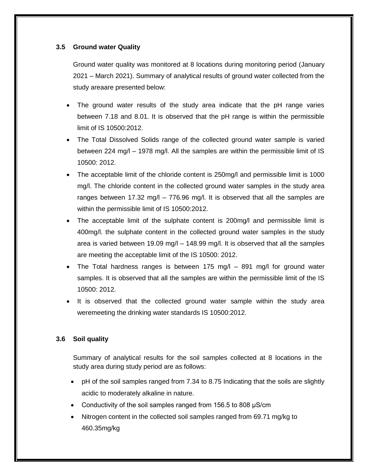#### **3.5 Ground water Quality**

Ground water quality was monitored at 8 locations during monitoring period (January 2021 – March 2021). Summary of analytical results of ground water collected from the study areaare presented below:

- The ground water results of the study area indicate that the pH range varies between 7.18 and 8.01. It is observed that the pH range is within the permissible limit of IS 10500:2012.
- The Total Dissolved Solids range of the collected ground water sample is varied between 224 mg/l – 1978 mg/l. All the samples are within the permissible limit of IS 10500: 2012.
- The acceptable limit of the chloride content is 250mg/l and permissible limit is 1000 mg/l. The chloride content in the collected ground water samples in the study area ranges between 17.32 mg/l – 776.96 mg/l. It is observed that all the samples are within the permissible limit of IS 10500:2012.
- The acceptable limit of the sulphate content is 200mg/l and permissible limit is 400mg/l. the sulphate content in the collected ground water samples in the study area is varied between 19.09 mg/l – 148.99 mg/l. It is observed that all the samples are meeting the acceptable limit of the IS 10500: 2012.
- The Total hardness ranges is between 175 mg/l 891 mg/l for ground water samples. It is observed that all the samples are within the permissible limit of the IS 10500: 2012.
- It is observed that the collected ground water sample within the study area weremeeting the drinking water standards IS 10500:2012.

#### **3.6 Soil quality**

Summary of analytical results for the soil samples collected at 8 locations in the study area during study period are as follows:

- pH of the soil samples ranged from 7.34 to 8.75 Indicating that the soils are slightly acidic to moderately alkaline in nature.
- Conductivity of the soil samples ranged from 156.5 to 808 μS/cm
- Nitrogen content in the collected soil samples ranged from 69.71 mg/kg to 460.35mg/kg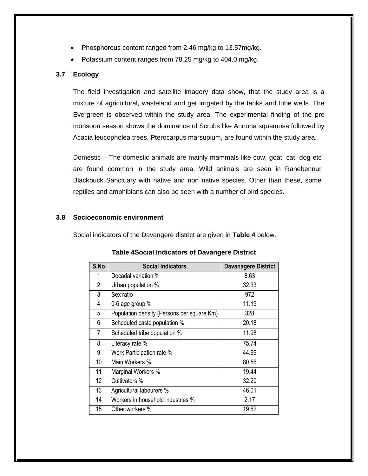- Phosphorous content ranged from 2.46 mg/kg to 13.57mg/kg.
- Potassium content ranges from 78.25 mg/kg to 404.0 mg/kg.

#### **3.7 Ecology**

The field investigation and satellite imagery data show, that the study area is a mixture of agricultural, wasteland and get irrigated by the tanks and tube wells. The Evergreen is observed within the study area. The experimental finding of the pre monsoon season shows the dominance of Scrubs like Annona squamosa followed by Acacia leucopholea trees, Pterocarpus marsupium, are found within the study area.

Domestic – The domestic animals are mainly mammals like cow, goat, cat, dog etc are found common in the study area. Wild animals are seen in Ranebennur Blackbuck Sanctuary with native and non native species. Other than these, some reptiles and amphibians can also be seen with a number of bird species.

#### **3.8 Socioeconomic environment**

Social indicators of the Davangere district are given in **Table 4** below.

| S.No           | <b>Social Indicators</b>                   | <b>Davanagere District</b> |
|----------------|--------------------------------------------|----------------------------|
|                | Decadal variation %                        | 8.63                       |
| $\overline{2}$ | Urban population %                         | 32.33                      |
| 3              | Sex ratio                                  | 972                        |
| 4              | 0-6 age group %                            | 11.19                      |
| 5              | Population density (Persons per square Km) | 328                        |
| 6              | Scheduled caste population %               | 20.18                      |
| 7              | Scheduled tribe population %               | 11.98                      |
| 8              | Literacy rate %                            | 75.74                      |
| 9              | Work Participation rate %                  | 44.99                      |
| 10             | Main Workers %                             | 80.56                      |
| 11             | Marginal Workers %                         | 19.44                      |
| 12             | Cultivators %                              | 32.20                      |
| 13             | Agricultural labourers %                   | 46.01                      |
| 14             | Workers in household industries %          | 2.17                       |
| 15             | Other workers %                            | 19.62                      |

**Table 4Social Indicators of Davangere District**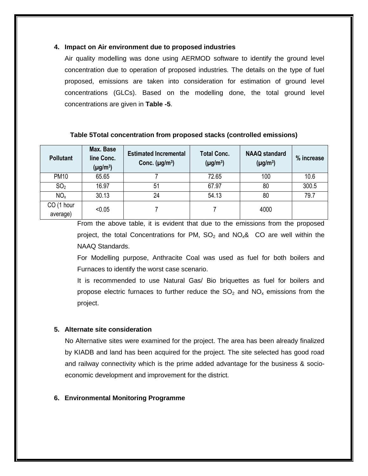#### **4. Impact on Air environment due to proposed industries**

Air quality modelling was done using AERMOD software to identify the ground level concentration due to operation of proposed industries. The details on the type of fuel proposed, emissions are taken into consideration for estimation of ground level concentrations (GLCs). Based on the modelling done, the total ground level concentrations are given in **Table -5**.

#### **Table 5Total concentration from proposed stacks (controlled emissions)**

| <b>Pollutant</b>       | Max. Base<br>line Conc.<br>$(\mu g/m^3)$ | <b>Estimated Incremental</b><br>Conc. $(\mu g/m^3)$ | <b>Total Conc.</b><br>$(\mu g/m^3)$ | <b>NAAQ</b> standard<br>$(\mu g/m^3)$ | % increase |
|------------------------|------------------------------------------|-----------------------------------------------------|-------------------------------------|---------------------------------------|------------|
| <b>PM10</b>            | 65.65                                    |                                                     | 72.65                               | 100                                   | 10.6       |
| SO <sub>2</sub>        | 16.97                                    | 51                                                  | 67.97                               | 80                                    | 300.5      |
| NO <sub>x</sub>        | 30.13                                    | 24                                                  | 54.13                               | 80                                    | 79.7       |
| CO (1 hour<br>average) | < 0.05                                   |                                                     |                                     | 4000                                  |            |

From the above table, it is evident that due to the emissions from the proposed project, the total Concentrations for PM,  $SO_2$  and  $NO_x\&$  CO are well within the NAAQ Standards.

For Modelling purpose, Anthracite Coal was used as fuel for both boilers and Furnaces to identify the worst case scenario.

It is recommended to use Natural Gas/ Bio briquettes as fuel for boilers and propose electric furnaces to further reduce the  $SO<sub>2</sub>$  and  $NO<sub>x</sub>$  emissions from the project.

#### **5. Alternate site consideration**

No Alternative sites were examined for the project. The area has been already finalized by KIADB and land has been acquired for the project. The site selected has good road and railway connectivity which is the prime added advantage for the business & socioeconomic development and improvement for the district.

#### **6. Environmental Monitoring Programme**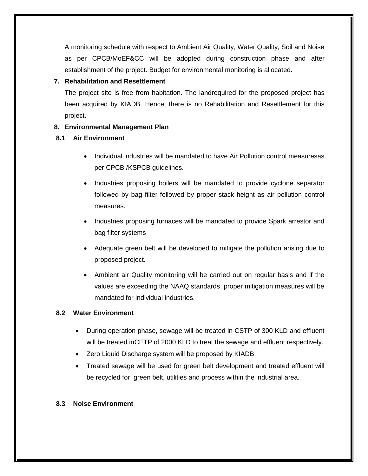A monitoring schedule with respect to Ambient Air Quality, Water Quality, Soil and Noise as per CPCB/MoEF&CC will be adopted during construction phase and after establishment of the project. Budget for environmental monitoring is allocated.

### **7. Rehabilitation and Resettlement**

The project site is free from habitation. The landrequired for the proposed project has been acquired by KIADB. Hence, there is no Rehabilitation and Resettlement for this project.

### **8. Environmental Management Plan**

### **8.1 Air Environment**

- Individual industries will be mandated to have Air Pollution control measuresas per CPCB /KSPCB guidelines.
- Industries proposing boilers will be mandated to provide cyclone separator followed by bag filter followed by proper stack height as air pollution control measures.
- Industries proposing furnaces will be mandated to provide Spark arrestor and bag filter systems
- Adequate green belt will be developed to mitigate the pollution arising due to proposed project.
- Ambient air Quality monitoring will be carried out on regular basis and if the values are exceeding the NAAQ standards, proper mitigation measures will be mandated for individual industries.

#### **8.2 Water Environment**

- During operation phase, sewage will be treated in CSTP of 300 KLD and effluent will be treated inCETP of 2000 KLD to treat the sewage and effluent respectively.
- Zero Liquid Discharge system will be proposed by KIADB.
- Treated sewage will be used for green belt development and treated effluent will be recycled for green belt, utilities and process within the industrial area.

#### **8.3 Noise Environment**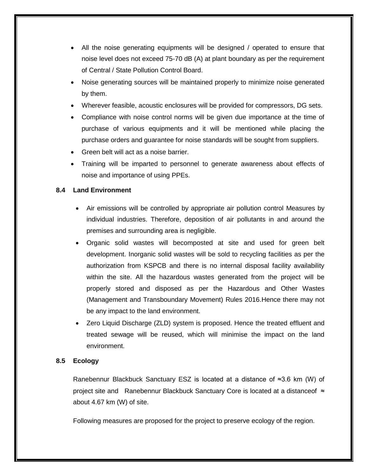- All the noise generating equipments will be designed / operated to ensure that noise level does not exceed 75-70 dB (A) at plant boundary as per the requirement of Central / State Pollution Control Board.
- Noise generating sources will be maintained properly to minimize noise generated by them.
- Wherever feasible, acoustic enclosures will be provided for compressors, DG sets.
- Compliance with noise control norms will be given due importance at the time of purchase of various equipments and it will be mentioned while placing the purchase orders and guarantee for noise standards will be sought from suppliers.
- Green belt will act as a noise barrier.
- Training will be imparted to personnel to generate awareness about effects of noise and importance of using PPEs.

#### **8.4 Land Environment**

- Air emissions will be controlled by appropriate air pollution control Measures by individual industries. Therefore, deposition of air pollutants in and around the premises and surrounding area is negligible.
- Organic solid wastes will becomposted at site and used for green belt development. Inorganic solid wastes will be sold to recycling facilities as per the authorization from KSPCB and there is no internal disposal facility availability within the site. All the hazardous wastes generated from the project will be properly stored and disposed as per the Hazardous and Other Wastes (Management and Transboundary Movement) Rules 2016.Hence there may not be any impact to the land environment.
- Zero Liquid Discharge (ZLD) system is proposed. Hence the treated effluent and treated sewage will be reused, which will minimise the impact on the land environment.

#### **8.5 Ecology**

Ranebennur Blackbuck Sanctuary ESZ is located at a distance of ≈3.6 km (W) of project site and Ranebennur Blackbuck Sanctuary Core is located at a distanceof ≈ about 4.67 km (W) of site.

Following measures are proposed for the project to preserve ecology of the region.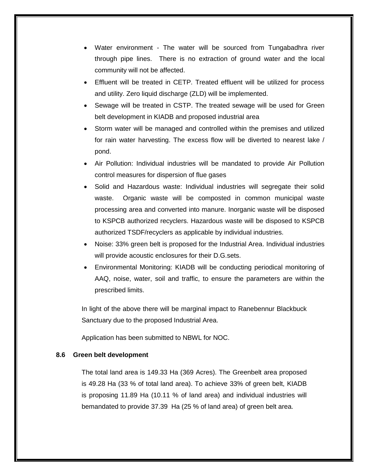- Water environment The water will be sourced from Tungabadhra river through pipe lines. There is no extraction of ground water and the local community will not be affected.
- Effluent will be treated in CETP. Treated effluent will be utilized for process and utility. Zero liquid discharge (ZLD) will be implemented.
- Sewage will be treated in CSTP. The treated sewage will be used for Green belt development in KIADB and proposed industrial area
- Storm water will be managed and controlled within the premises and utilized for rain water harvesting. The excess flow will be diverted to nearest lake / pond.
- Air Pollution: Individual industries will be mandated to provide Air Pollution control measures for dispersion of flue gases
- Solid and Hazardous waste: Individual industries will segregate their solid waste. Organic waste will be composted in common municipal waste processing area and converted into manure. Inorganic waste will be disposed to KSPCB authorized recyclers. Hazardous waste will be disposed to KSPCB authorized TSDF/recyclers as applicable by individual industries.
- Noise: 33% green belt is proposed for the Industrial Area. Individual industries will provide acoustic enclosures for their D.G.sets.
- Environmental Monitoring: KIADB will be conducting periodical monitoring of AAQ, noise, water, soil and traffic, to ensure the parameters are within the prescribed limits.

In light of the above there will be marginal impact to Ranebennur Blackbuck Sanctuary due to the proposed Industrial Area.

Application has been submitted to NBWL for NOC.

#### **8.6 Green belt development**

The total land area is 149.33 Ha (369 Acres). The Greenbelt area proposed is 49.28 Ha (33 % of total land area). To achieve 33% of green belt, KIADB is proposing 11.89 Ha (10.11 % of land area) and individual industries will bemandated to provide 37.39 Ha (25 % of land area) of green belt area.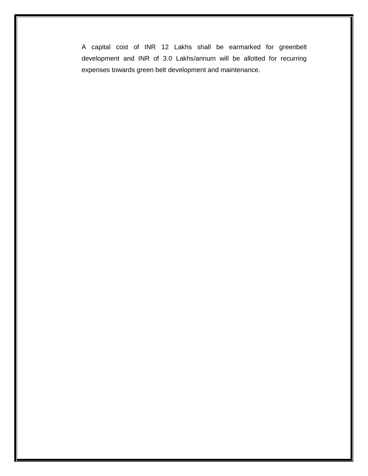A capital cost of INR 12 Lakhs shall be earmarked for greenbelt development and INR of 3.0 Lakhs/annum will be allotted for recurring expenses towards green belt development and maintenance.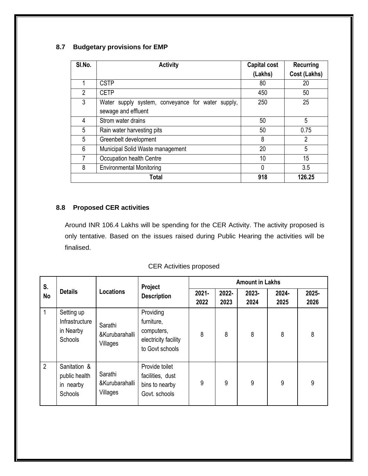# **8.7 Budgetary provisions for EMP**

| SI.No. | <b>Activity</b>                                   | Capital cost | <b>Recurring</b> |
|--------|---------------------------------------------------|--------------|------------------|
|        |                                                   | (Lakhs)      | Cost (Lakhs)     |
|        | <b>CSTP</b>                                       | 80           | 20               |
| 2      | <b>CETP</b>                                       | 450          | 50               |
| 3      | Water supply system, conveyance for water supply, | 250          | 25               |
|        | sewage and effluent                               |              |                  |
| 4      | Strom water drains                                | 50           | 5                |
| 5      | Rain water harvesting pits                        | 50           | 0.75             |
| 5      | Greenbelt development                             | 8            | 2                |
| 6      | Municipal Solid Waste management                  | 20           | 5                |
|        | Occupation health Centre                          | 10           | 15               |
| 8      | <b>Environmental Monitoring</b>                   | $\mathbf{0}$ | 3.5              |
|        | Total                                             | 918          | 126.25           |

# **8.8 Proposed CER activities**

Around INR 106.4 Lakhs will be spending for the CER Activity. The activity proposed is only tentative. Based on the issues raised during Public Hearing the activities will be finalised.

# CER Activities proposed

| S.          |                                                       |                                       | Project                                                                          |                  | <b>Amount in Lakhs</b> |               |               |               |  |
|-------------|-------------------------------------------------------|---------------------------------------|----------------------------------------------------------------------------------|------------------|------------------------|---------------|---------------|---------------|--|
| <b>No</b>   | <b>Details</b>                                        | <b>Locations</b>                      | <b>Description</b>                                                               | $2021 -$<br>2022 | $2022 -$<br>2023       | 2023-<br>2024 | 2024-<br>2025 | 2025-<br>2026 |  |
|             | Setting up<br>Infrastructure<br>in Nearby<br>Schools  | Sarathi<br>&Kurubarahalli<br>Villages | Providing<br>furniture,<br>computers,<br>electricity facility<br>to Govt schools | 8                | 8                      | 8             | 8             | 8             |  |
| $2^{\circ}$ | Sanitation &<br>public health<br>in nearby<br>Schools | Sarathi<br>&Kurubarahalli<br>Villages | Provide toilet<br>facilities, dust<br>bins to nearby<br>Govt. schools            | 9                | 9                      | 9             | 9             | 9             |  |